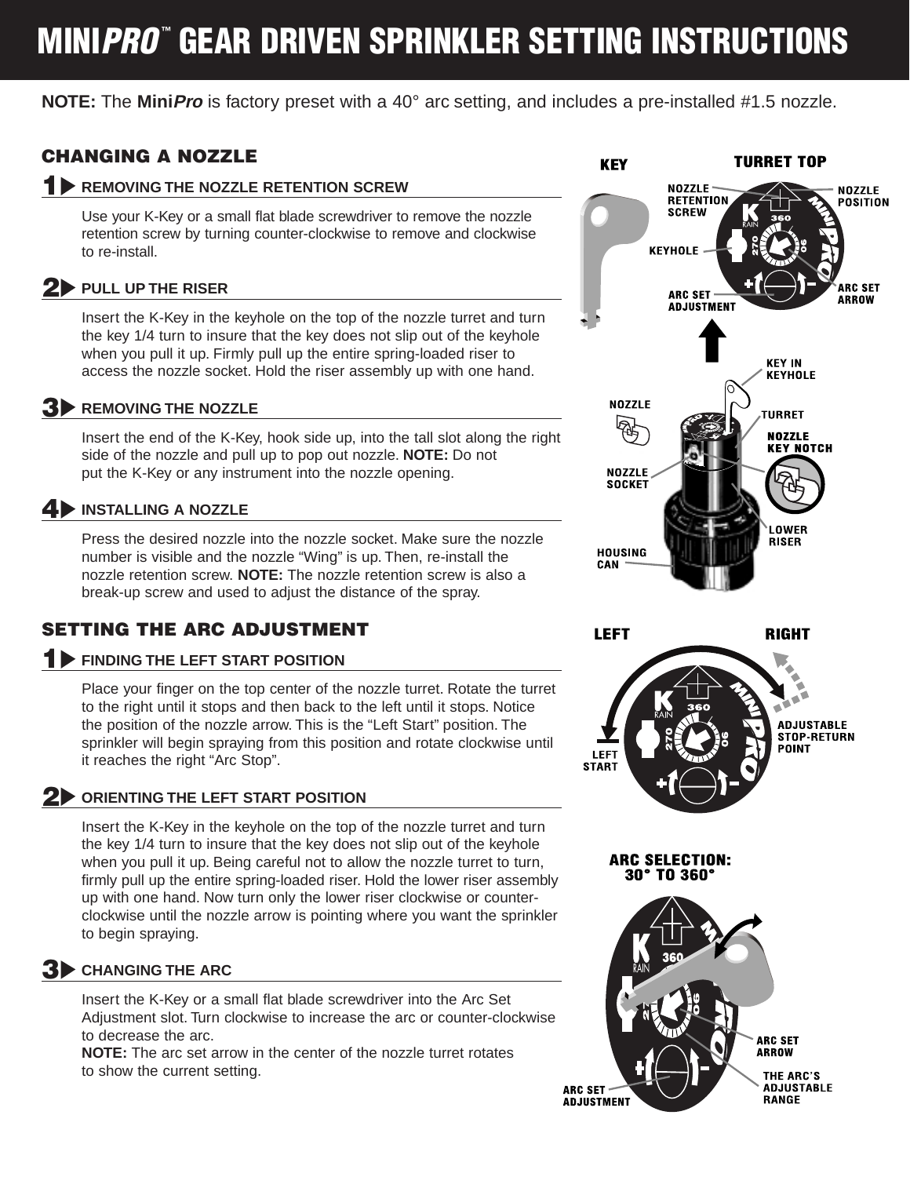# **MINIPRO™ GEAR DRIVEN SPRINKLER SETTING INSTRUCTIONS**

**NOTE:** The **MiniPro** is factory preset with a 40° arc setting, and includes a pre-installed #1.5 nozzle.

# **CHANGING A NOZZLE**

#### **1 REMOVING THE NOZZLE RETENTION SCREW**

Use your K-Key or a small flat blade screwdriver to remove the nozzle retention screw by turning counter-clockwise to remove and clockwise to re-install.

#### **2 PULL UP THE RISER**

Insert the K-Key in the keyhole on the top of the nozzle turret and turn the key 1/4 turn to insure that the key does not slip out of the keyhole when you pull it up. Firmly pull up the entire spring-loaded riser to access the nozzle socket. Hold the riser assembly up with one hand.

**3 REMOVING THE NOZZLE**

Insert the end of the K-Key, hook side up, into the tall slot along the right side of the nozzle and pull up to pop out nozzle. **NOTE:** Do not put the K-Key or any instrument into the nozzle opening.

### **4 INSTALLING A NOZZLE**

Press the desired nozzle into the nozzle socket. Make sure the nozzle number is visible and the nozzle "Wing" is up. Then, re-install the nozzle retention screw. **NOTE:** The nozzle retention screw is also a break-up screw and used to adjust the distance of the spray.

### **SETTING THE ARC ADJUSTMENT**

#### **1 FINDING THE LEFT START POSITION**

Place your finger on the top center of the nozzle turret. Rotate the turret to the right until it stops and then back to the left until it stops. Notice the position of the nozzle arrow. This is the "Left Start" position. The sprinkler will begin spraying from this position and rotate clockwise until it reaches the right "Arc Stop".

#### **2 ORIENTING THE LEFT START POSITION**

Insert the K-Key in the keyhole on the top of the nozzle turret and turn the key 1/4 turn to insure that the key does not slip out of the keyhole when you pull it up. Being careful not to allow the nozzle turret to turn, firmly pull up the entire spring-loaded riser. Hold the lower riser assembly up with one hand. Now turn only the lower riser clockwise or counterclockwise until the nozzle arrow is pointing where you want the sprinkler to begin spraying.

### **3 CHANGING THE ARC**

Insert the K-Key or a small flat blade screwdriver into the Arc Set Adjustment slot. Turn clockwise to increase the arc or counter-clockwise to decrease the arc.

**NOTE:** The arc set arrow in the center of the nozzle turret rotates to show the current setting.